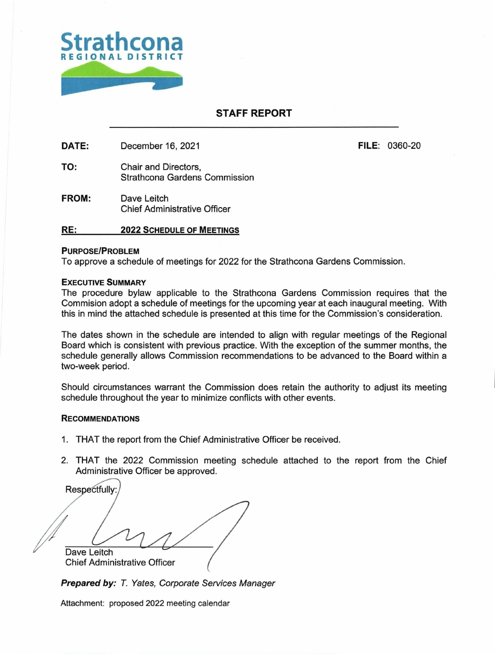

## **STAFF REPORT**

DATE: December 16, 2021 **FILE:** 0360-20

- TO: Chair and Directors, Strathcona Gardens Commission
- **FROM:** Dave Leitch Chief Administrative Officer

### **RE: 2022 SCHEDULE OF MEETINGS**

#### **PURPOSE/PROBLEM**

To approve a schedule of meetings for 2022 for the Strathcona Gardens Commission.

### **EXECUTIVE SUMMARY**

The procedure bylaw applicable to the Strathcona Gardens Commission requires that the Commision adopt a schedule of meetings for the upcoming year at each inaugural meeting. With this in mind the attached schedule is presented at this time for the Commission's consideration.

The dates shown in the schedule are intended to align with regular meetings of the Regional Board which is consistent with previous practice. With the exception of the summer months, the schedule generally allows Commission recommendations to be advanced to the Board within a two-week period.

Should circumstances warrant the Commission does retain the authority to adjust its meeting schedule throughout the year to minimize conflicts with other events.

### **RECOMMENDATIONS**

- 1. THAT the report from the Chief Administrative Officer be received.
- 2. THAT the 2022 Commission meeting schedule attached to the report from the Chief Administrative Officer be approved.

Dave Leitch Chief Administrative Officer ( Respectfully:

Prepared by: T. Yates, Corporate Services Manager

Attachment: proposed 2022 meeting calendar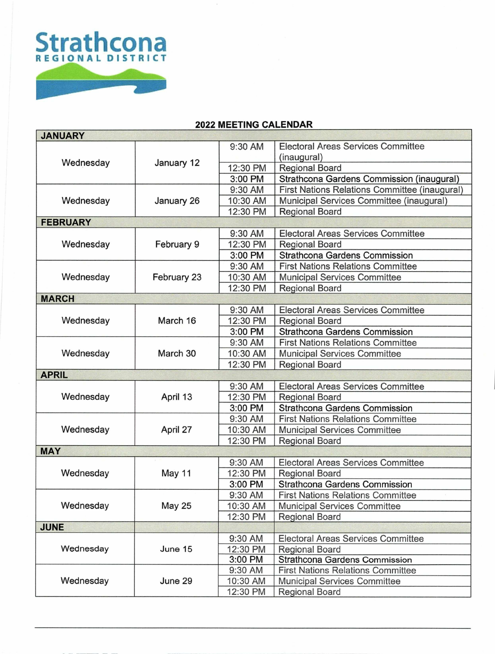

# **2022 MEETING CALENDAR**

| <b>JANUARY</b>  |               |          |                                               |  |
|-----------------|---------------|----------|-----------------------------------------------|--|
|                 | January 12    | 9:30 AM  | Electoral Areas Services Committee            |  |
| Wednesday       |               |          | (inaugural)                                   |  |
|                 |               | 12:30 PM | <b>Regional Board</b>                         |  |
|                 |               | 3:00 PM  | Strathcona Gardens Commission (inaugural)     |  |
| Wednesday       | January 26    | 9:30 AM  | First Nations Relations Committee (inaugural) |  |
|                 |               | 10:30 AM | Municipal Services Committee (inaugural)      |  |
|                 |               | 12:30 PM | <b>Regional Board</b>                         |  |
| <b>FEBRUARY</b> |               |          |                                               |  |
| Wednesday       | February 9    | 9:30 AM  | <b>Electoral Areas Services Committee</b>     |  |
|                 |               | 12:30 PM | <b>Regional Board</b>                         |  |
|                 |               | 3:00 PM  | <b>Strathcona Gardens Commission</b>          |  |
|                 | February 23   | 9:30 AM  | <b>First Nations Relations Committee</b>      |  |
| Wednesday       |               | 10:30 AM | <b>Municipal Services Committee</b>           |  |
|                 |               | 12:30 PM | Regional Board                                |  |
| <b>MARCH</b>    |               |          |                                               |  |
|                 | March 16      | 9:30 AM  | <b>Electoral Areas Services Committee</b>     |  |
| Wednesday       |               | 12:30 PM | <b>Regional Board</b>                         |  |
|                 |               | 3:00 PM  | <b>Strathcona Gardens Commission</b>          |  |
|                 | March 30      | 9:30 AM  | <b>First Nations Relations Committee</b>      |  |
| Wednesday       |               | 10:30 AM | Municipal Services Committee                  |  |
|                 |               | 12:30 PM | <b>Regional Board</b>                         |  |
| <b>APRIL</b>    |               |          |                                               |  |
| Wednesday       | April 13      | 9:30 AM  | Electoral Areas Services Committee            |  |
|                 |               | 12:30 PM | <b>Regional Board</b>                         |  |
|                 |               | 3:00 PM  | <b>Strathcona Gardens Commission</b>          |  |
| Wednesday       | April 27      | 9:30 AM  | <b>First Nations Relations Committee</b>      |  |
|                 |               | 10:30 AM | <b>Municipal Services Committee</b>           |  |
|                 |               | 12:30 PM | Regional Board                                |  |
| <b>MAY</b>      |               |          |                                               |  |
| Wednesday       | May 11        | 9:30 AM  | <b>Electoral Areas Services Committee</b>     |  |
|                 |               | 12:30 PM | <b>Regional Board</b>                         |  |
|                 |               | 3:00 PM  | <b>Strathcona Gardens Commission</b>          |  |
| Wednesday       | <b>May 25</b> | 9:30 AM  | <b>First Nations Relations Committee</b>      |  |
|                 |               | 10:30 AM | <b>Municipal Services Committee</b>           |  |
|                 |               | 12:30 PM | Regional Board                                |  |
| <b>JUNE</b>     |               |          |                                               |  |
| Wednesday       | June 15       | 9:30 AM  | <b>Electoral Areas Services Committee</b>     |  |
|                 |               | 12:30 PM | Regional Board                                |  |
|                 |               | 3:00 PM  | <b>Strathcona Gardens Commission</b>          |  |
| Wednesday       | June 29       | 9:30 AM  | <b>First Nations Relations Committee</b>      |  |
|                 |               | 10:30 AM | Municipal Services Committee                  |  |
|                 |               | 12:30 PM | Regional Board                                |  |